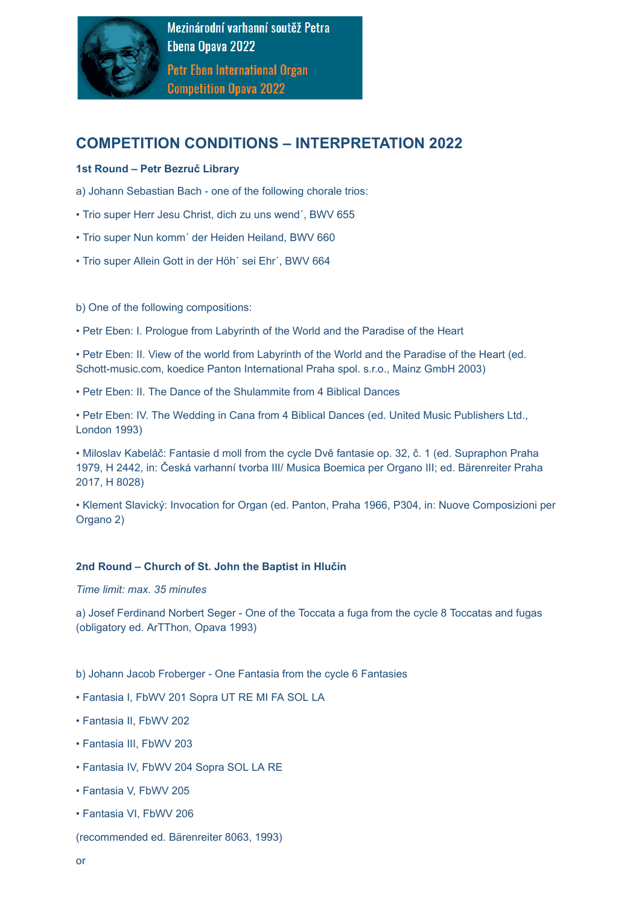

# **COMPETITION CONDITIONS – INTERPRETATION 2022**

## **1st Round – Petr Bezruč Library**

- a) Johann Sebastian Bach one of the following chorale trios:
- Trio super Herr Jesu Christ, dich zu uns wend´, BWV 655
- Trio super Nun komm´ der Heiden Heiland, BWV 660
- Trio super Allein Gott in der Höh´ sei Ehr´, BWV 664
- b) One of the following compositions:
- Petr Eben: I. Prologue from Labyrinth of the World and the Paradise of the Heart

• Petr Eben: II. View of the world from Labyrinth of the World and the Paradise of the Heart (ed. Schott-music.com, koedice Panton International Praha spol. s.r.o., Mainz GmbH 2003)

• Petr Eben: II. The Dance of the Shulammite from 4 Biblical Dances

• Petr Eben: IV. The Wedding in Cana from 4 Biblical Dances (ed. United Music Publishers Ltd., London 1993)

• Miloslav Kabeláč: Fantasie d moll from the cycle Dvě fantasie op. 32, č. 1 (ed. Supraphon Praha 1979, H 2442, in: Česká varhanní tvorba III/ Musica Boemica per Organo III; ed. Bärenreiter Praha 2017, H 8028)

• Klement Slavický: Invocation for Organ (ed. Panton, Praha 1966, P304, in: Nuove Composizioni per Organo 2)

### **2nd Round – Church of St. John the [Baptist](https://www.ebencompetition.cz/en/organs/Organ-in-the-Church-of-St-John-the-Baptist-in-Hlucin) in Hlučín**

*Time limit: max. 35 minutes*

a) Josef Ferdinand Norbert Seger - One of the Toccata a fuga from the cycle 8 Toccatas and fugas (obligatory ed. ArTThon, Opava 1993)

b) Johann Jacob Froberger - One Fantasia from the cycle 6 Fantasies

- Fantasia I, FbWV 201 Sopra UT RE MI FA SOL LA
- Fantasia II, FbWV 202
- Fantasia III, FbWV 203
- Fantasia IV, FbWV 204 Sopra SOL LA RE
- Fantasia V, FbWV 205
- Fantasia VI, FbWV 206
- (recommended ed. Bärenreiter 8063, 1993)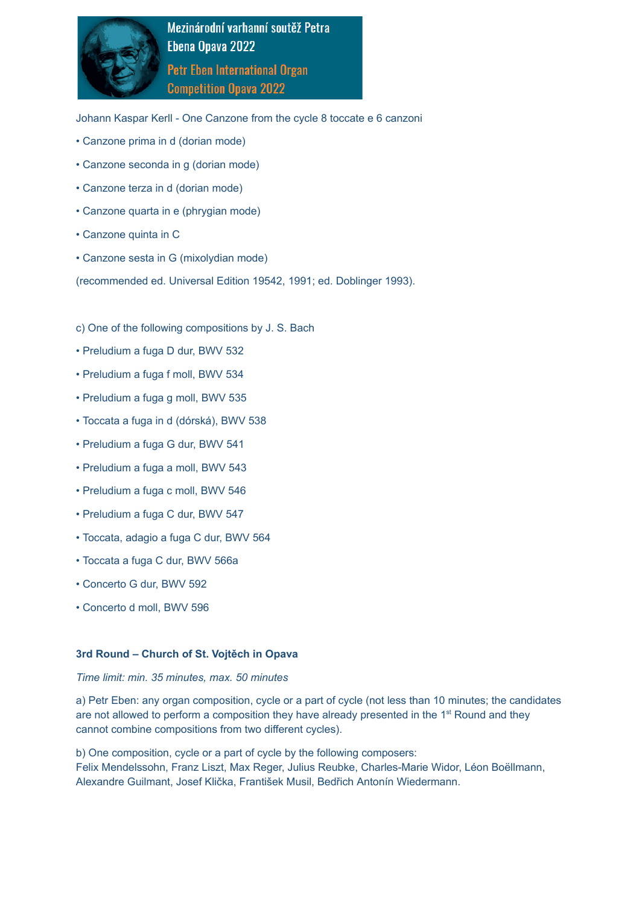

Johann Kaspar Kerll - One Canzone from the cycle 8 toccate e 6 canzoni

- Canzone prima in d (dorian mode)
- Canzone seconda in g (dorian mode)
- Canzone terza in d (dorian mode)
- Canzone quarta in e (phrygian mode)
- Canzone quinta in C
- Canzone sesta in G (mixolydian mode)

(recommended ed. Universal Edition 19542, 1991; ed. Doblinger 1993).

- c) One of the following compositions by J. S. Bach
- Preludium a fuga D dur, BWV 532
- Preludium a fuga f moll, BWV 534
- Preludium a fuga g moll, BWV 535
- Toccata a fuga in d (dórská), BWV 538
- Preludium a fuga G dur, BWV 541
- Preludium a fuga a moll, BWV 543
- Preludium a fuga c moll, BWV 546
- Preludium a fuga C dur, BWV 547
- Toccata, adagio a fuga C dur, BWV 564
- Toccata a fuga C dur, BWV 566a
- Concerto G dur, BWV 592
- Concerto d moll, BWV 596

#### **3rd Round – Church of St. Vojtěch in Opava**

#### *Time limit: min. 35 minutes, max. 50 minutes*

a) Petr Eben: any organ composition, cycle or a part of cycle (not less than 10 minutes; the candidates are not allowed to perform a composition they have already presented in the  $1<sup>st</sup>$  Round and they cannot combine compositions from two different cycles).

b) One composition, cycle or a part of cycle by the following composers: Felix Mendelssohn, Franz Liszt, Max Reger, Julius Reubke, Charles-Marie Widor, Léon Boëllmann, Alexandre Guilmant, Josef Klička, František Musil, Bedřich Antonín Wiedermann.